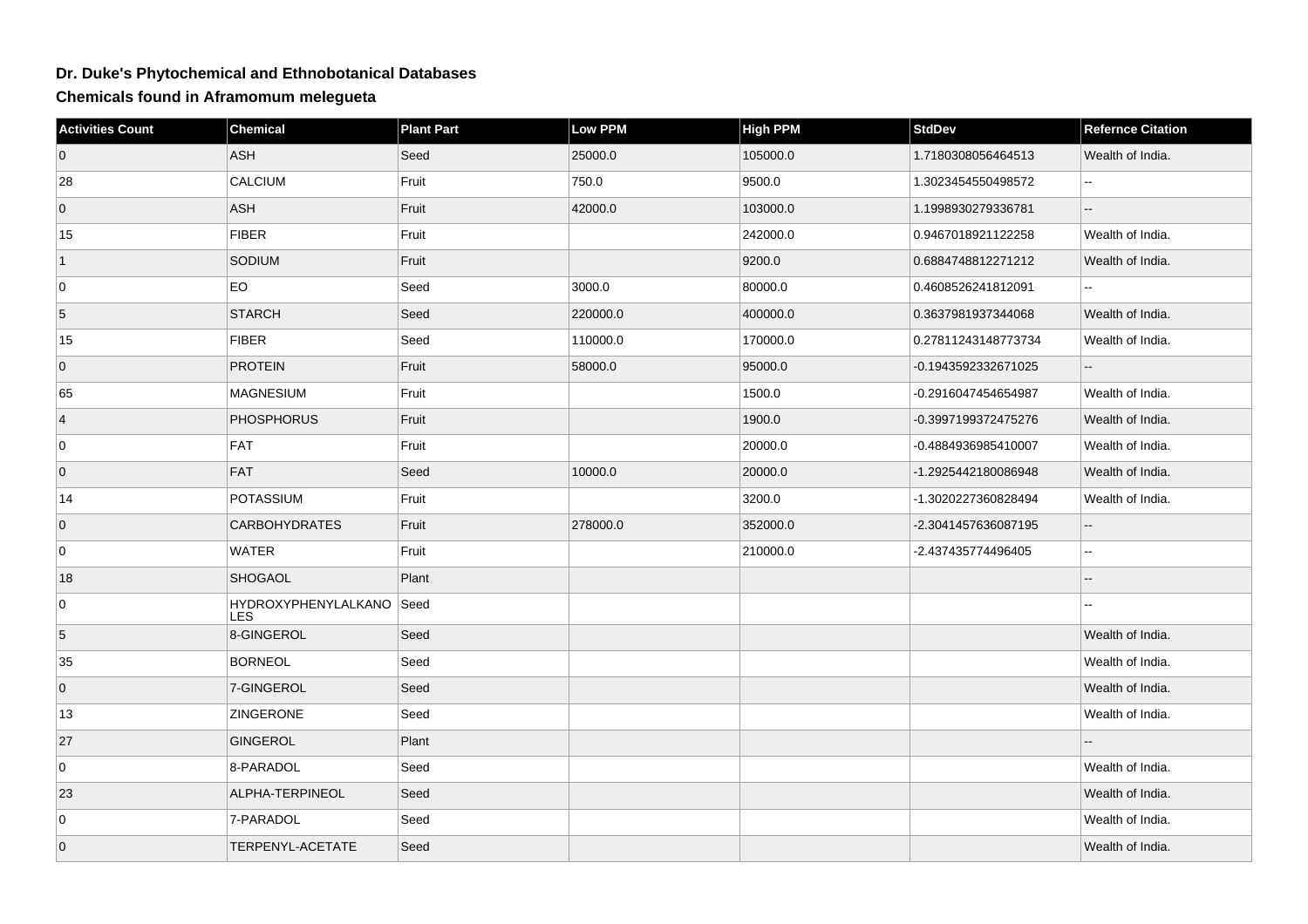## **Dr. Duke's Phytochemical and Ethnobotanical Databases**

**Chemicals found in Aframomum melegueta**

| <b>Activities Count</b> | <b>Chemical</b>                        | <b>Plant Part</b> | Low PPM  | <b>High PPM</b> | <b>StdDev</b>       | <b>Refernce Citation</b> |
|-------------------------|----------------------------------------|-------------------|----------|-----------------|---------------------|--------------------------|
| $\overline{0}$          | ASH                                    | Seed              | 25000.0  | 105000.0        | 1.7180308056464513  | Wealth of India.         |
| 28                      | <b>CALCIUM</b>                         | Fruit             | 750.0    | 9500.0          | 1.3023454550498572  | $\sim$                   |
| $\overline{0}$          | ASH                                    | Fruit             | 42000.0  | 103000.0        | 1.1998930279336781  |                          |
| 15                      | <b>FIBER</b>                           | Fruit             |          | 242000.0        | 0.9467018921122258  | Wealth of India.         |
| $\vert$ 1               | SODIUM                                 | Fruit             |          | 9200.0          | 0.6884748812271212  | Wealth of India.         |
| 0                       | EO                                     | Seed              | 3000.0   | 80000.0         | 0.4608526241812091  |                          |
| 5                       | <b>STARCH</b>                          | Seed              | 220000.0 | 400000.0        | 0.3637981937344068  | Wealth of India.         |
| 15                      | <b>FIBER</b>                           | Seed              | 110000.0 | 170000.0        | 0.27811243148773734 | Wealth of India.         |
| $\overline{0}$          | <b>PROTEIN</b>                         | Fruit             | 58000.0  | 95000.0         | -0.1943592332671025 |                          |
| 65                      | <b>MAGNESIUM</b>                       | Fruit             |          | 1500.0          | -0.2916047454654987 | Wealth of India.         |
| $\vert 4 \vert$         | <b>PHOSPHORUS</b>                      | Fruit             |          | 1900.0          | -0.3997199372475276 | Wealth of India.         |
| 0                       | <b>FAT</b>                             | Fruit             |          | 20000.0         | -0.4884936985410007 | Wealth of India.         |
| $\overline{0}$          | <b>FAT</b>                             | Seed              | 10000.0  | 20000.0         | -1.2925442180086948 | Wealth of India.         |
| 14                      | <b>POTASSIUM</b>                       | Fruit             |          | 3200.0          | -1.3020227360828494 | Wealth of India.         |
| $\overline{0}$          | <b>CARBOHYDRATES</b>                   | Fruit             | 278000.0 | 352000.0        | -2.3041457636087195 |                          |
| 0                       | <b>WATER</b>                           | Fruit             |          | 210000.0        | -2.437435774496405  | 44                       |
| 18                      | <b>SHOGAOL</b>                         | Plant             |          |                 |                     | --                       |
| 0                       | HYDROXYPHENYLALKANO Seed<br><b>LES</b> |                   |          |                 |                     |                          |
| $\overline{5}$          | 8-GINGEROL                             | Seed              |          |                 |                     | Wealth of India.         |
| 35                      | <b>BORNEOL</b>                         | Seed              |          |                 |                     | Wealth of India.         |
| $\overline{0}$          | 7-GINGEROL                             | Seed              |          |                 |                     | Wealth of India.         |
| 13                      | <b>ZINGERONE</b>                       | Seed              |          |                 |                     | Wealth of India.         |
| 27                      | GINGEROL                               | Plant             |          |                 |                     |                          |
| 0                       | 8-PARADOL                              | Seed              |          |                 |                     | Wealth of India.         |
| 23                      | ALPHA-TERPINEOL                        | Seed              |          |                 |                     | Wealth of India.         |
| 0                       | 7-PARADOL                              | Seed              |          |                 |                     | Wealth of India.         |
| $\overline{0}$          | TERPENYL-ACETATE                       | Seed              |          |                 |                     | Wealth of India.         |